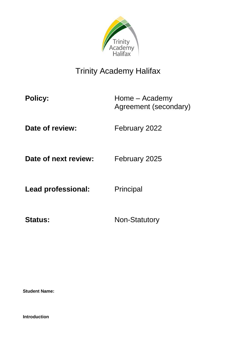

# Trinity Academy Halifax

**Policy:** Home – Academy Agreement (secondary)

**Date of review:** February 2022

**Date of next review:** February 2025

Lead professional: Principal

Status: Non-Statutory

**Student Name:** 

**Introduction**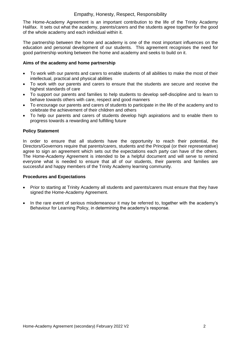#### Empathy, Honesty, Respect, Responsibility

The Home-Academy Agreement is an important contribution to the life of the Trinity Academy Halifax. It sets out what the academy, parents/carers and the students agree together for the good of the whole academy and each individual within it.

The partnership between the home and academy is one of the most important influences on the education and personal development of our students. This agreement recognises the need for good partnership working between the home and academy and seeks to build on it.

#### **Aims of the academy and home partnership**

- To work with our parents and carers to enable students of all abilities to make the most of their intellectual, practical and physical abilities
- To work with our parents and carers to ensure that the students are secure and receive the highest standards of care
- To support our parents and families to help students to develop self-discipline and to learn to behave towards others with care, respect and good manners
- To encourage our parents and carers of students to participate in the life of the academy and to celebrate the achievement of their children and others
- To help our parents and carers of students develop high aspirations and to enable them to progress towards a rewarding and fulfilling future

#### **Policy Statement**

In order to ensure that all students have the opportunity to reach their potential, the Directors/Governors require that parents/carers, students and the Principal (or their representative) agree to sign an agreement which sets out the expectations each party can have of the others. The Home-Academy Agreement is intended to be a helpful document and will serve to remind everyone what is needed to ensure that all of our students, their parents and families are successful and happy members of the Trinity Academy learning community.

#### **Procedures and Expectations**

- Prior to starting at Trinity Academy all students and parents/carers must ensure that they have signed the Home-Academy Agreement.
- In the rare event of serious misdemeanour it may be referred to, together with the academy's Behaviour for Learning Policy, in determining the academy's response.